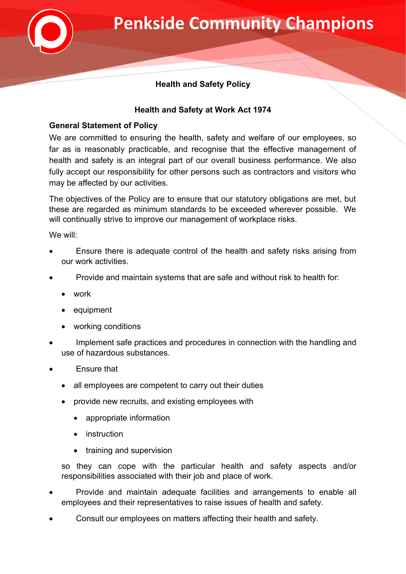

## **Health and Safety Policy**

## **Health and Safety at Work Act 1974**

## **General Statement of Policy**

We are committed to ensuring the health, safety and welfare of our employees, so far as is reasonably practicable, and recognise that the effective management of health and safety is an integral part of our overall business performance. We also fully accept our responsibility for other persons such as contractors and visitors who may be affected by our activities.

The objectives of the Policy are to ensure that our statutory obligations are met, but these are regarded as minimum standards to be exceeded wherever possible. We will continually strive to improve our management of workplace risks.

We will:

- Ensure there is adequate control of the health and safety risks arising from our work activities.
- Provide and maintain systems that are safe and without risk to health for:
	- work
	- equipment
	- working conditions
- Implement safe practices and procedures in connection with the handling and use of hazardous substances.
- Ensure that
	- all employees are competent to carry out their duties
	- provide new recruits, and existing employees with
		- appropriate information
		- instruction
		- training and supervision

so they can cope with the particular health and safety aspects and/or responsibilities associated with their job and place of work.

- Provide and maintain adequate facilities and arrangements to enable all employees and their representatives to raise issues of health and safety.
- Consult our employees on matters affecting their health and safety.